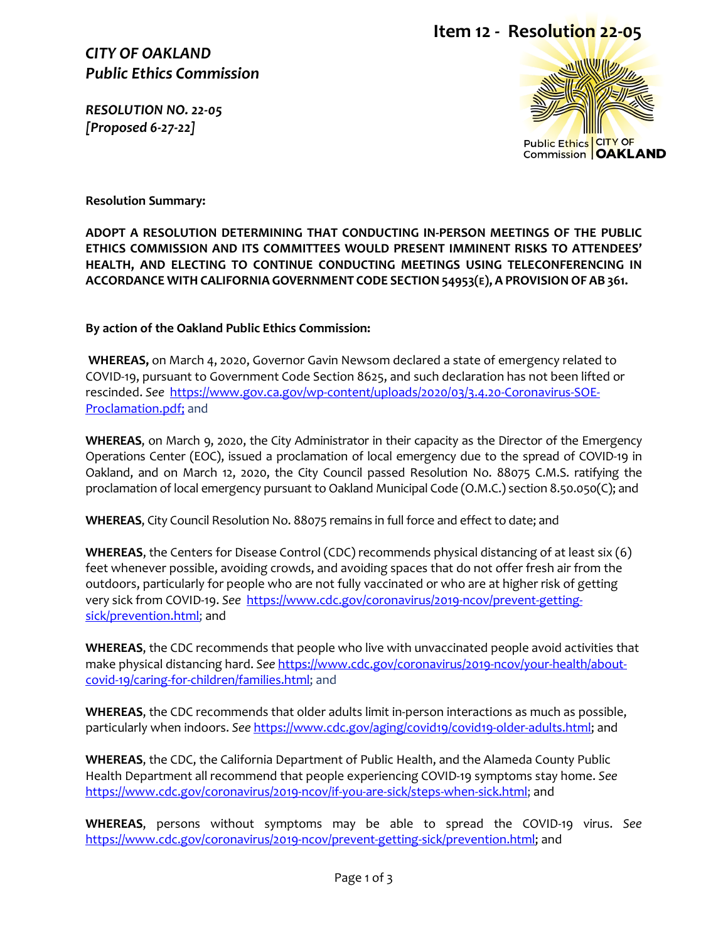### *CITY OF OAKLAND Public Ethics Commission*

*RESOLUTION NO. 22-05 [Proposed 6-27-22]* 





**Resolution Summary:**

**ADOPT A RESOLUTION DETERMINING THAT CONDUCTING IN-PERSON MEETINGS OF THE PUBLIC ETHICS COMMISSION AND ITS COMMITTEES WOULD PRESENT IMMINENT RISKS TO ATTENDEES' HEALTH, AND ELECTING TO CONTINUE CONDUCTING MEETINGS USING TELECONFERENCING IN ACCORDANCE WITH CALIFORNIA GOVERNMENT CODE SECTION 54953(E), A PROVISIONOF AB 361.**

**By action of the Oakland Public Ethics Commission:**

**WHEREAS,** on March 4, 2020, Governor Gavin Newsom declared a state of emergency related to COVID-19, pursuant to Government Code Section 8625, and such declaration has not been lifted or rescinded. *See* [https://www.gov.ca.gov/wp-content/uploads/2020/03/3.4.20-Coronavirus-SOE-](https://www.gov.ca.gov/wp-content/uploads/2020/03/3.4.20-Coronavirus-SOE-Proclamation.pdf)[Proclamation.pdf;](https://www.gov.ca.gov/wp-content/uploads/2020/03/3.4.20-Coronavirus-SOE-Proclamation.pdf) and

**WHEREAS**, on March 9, 2020, the City Administrator in their capacity as the Director of the Emergency Operations Center (EOC), issued a proclamation of local emergency due to the spread of COVID-19 in Oakland, and on March 12, 2020, the City Council passed Resolution No. 88075 C.M.S. ratifying the proclamation of local emergency pursuant to Oakland Municipal Code (O.M.C.) section 8.50.050(C); and

**WHEREAS**, City Council Resolution No. 88075 remains in full force and effect to date; and

**WHEREAS**, the Centers for Disease Control (CDC) recommends physical distancing of at least six (6) feet whenever possible, avoiding crowds, and avoiding spaces that do not offer fresh air from the outdoors, particularly for people who are not fully vaccinated or who are at higher risk of getting very sick from COVID-19. *See* [https://www.cdc.gov/coronavirus/2019-ncov/prevent-getting](https://www.cdc.gov/coronavirus/2019-ncov/prevent-getting-sick/prevention.html)[sick/prevention.html;](https://www.cdc.gov/coronavirus/2019-ncov/prevent-getting-sick/prevention.html) and

**WHEREAS**, the CDC recommends that people who live with unvaccinated people avoid activities that make physical distancing hard. *See* [https://www.cdc.gov/coronavirus/2019-ncov/your-health/about](https://www.cdc.gov/coronavirus/2019-ncov/your-health/about-covid-19/caring-for-children/families.html)[covid-19/caring-for-children/families.html;](https://www.cdc.gov/coronavirus/2019-ncov/your-health/about-covid-19/caring-for-children/families.html) and

**WHEREAS**, the CDC recommends that older adults limit in-person interactions as much as possible, particularly when indoors. *See* [https://www.cdc.gov/aging/covid19/covid19-older-adults.html;](https://www.cdc.gov/aging/covid19/covid19-older-adults.html) and

**WHEREAS**, the CDC, the California Department of Public Health, and the Alameda County Public Health Department all recommend that people experiencing COVID-19 symptoms stay home. *See* [https://www.cdc.gov/coronavirus/2019-ncov/if-you-are-sick/steps-when-sick.html;](https://www.cdc.gov/coronavirus/2019-ncov/if-you-are-sick/steps-when-sick.html) and

**WHEREAS**, persons without symptoms may be able to spread the COVID-19 virus. *See*  [https://www.cdc.gov/coronavirus/2019-ncov/prevent-getting-sick/prevention.html;](https://www.cdc.gov/coronavirus/2019-ncov/prevent-getting-sick/prevention.html) and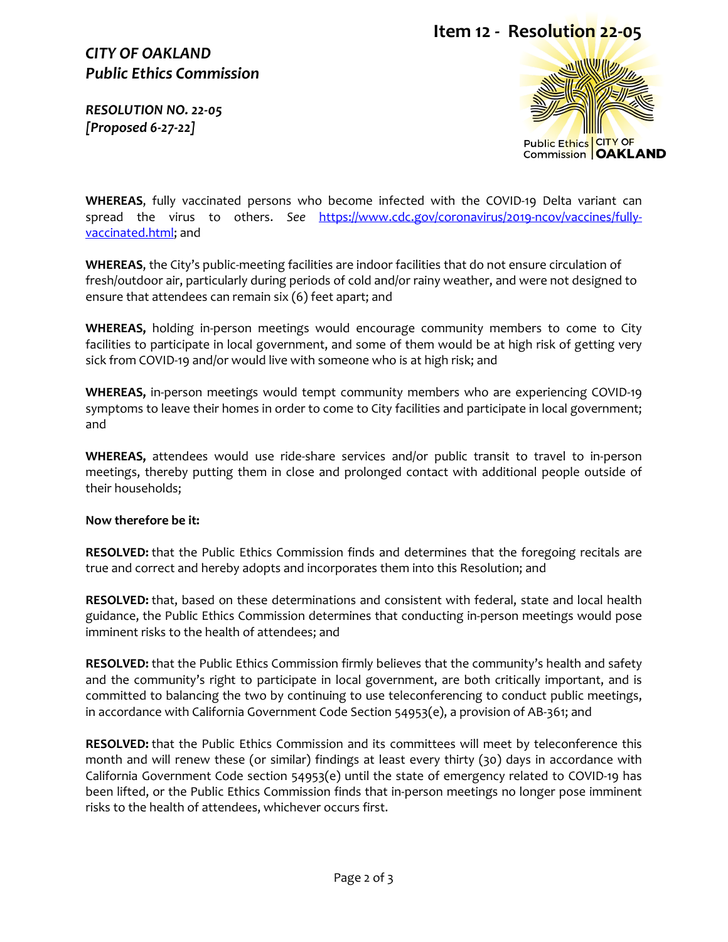# **Item 12 - Resolution 22-05**

# *CITY OF OAKLAND Public Ethics Commission*

*RESOLUTION NO. 22-05 [Proposed 6-27-22]* 



**WHEREAS**, fully vaccinated persons who become infected with the COVID-19 Delta variant can spread the virus to others. *See* [https://www.cdc.gov/coronavirus/2019-ncov/vaccines/fully](https://www.cdc.gov/coronavirus/2019-ncov/vaccines/fully-vaccinated.html)[vaccinated.html;](https://www.cdc.gov/coronavirus/2019-ncov/vaccines/fully-vaccinated.html) and

**WHEREAS**, the City's public-meeting facilities are indoor facilities that do not ensure circulation of fresh/outdoor air, particularly during periods of cold and/or rainy weather, and were not designed to ensure that attendees can remain six (6) feet apart; and

**WHEREAS,** holding in-person meetings would encourage community members to come to City facilities to participate in local government, and some of them would be at high risk of getting very sick from COVID-19 and/or would live with someone who is at high risk; and

**WHEREAS,** in-person meetings would tempt community members who are experiencing COVID-19 symptoms to leave their homes in order to come to City facilities and participate in local government; and

**WHEREAS,** attendees would use ride-share services and/or public transit to travel to in-person meetings, thereby putting them in close and prolonged contact with additional people outside of their households;

#### **Now therefore be it:**

**RESOLVED:** that the Public Ethics Commission finds and determines that the foregoing recitals are true and correct and hereby adopts and incorporates them into this Resolution; and

**RESOLVED:** that, based on these determinations and consistent with federal, state and local health guidance, the Public Ethics Commission determines that conducting in-person meetings would pose imminent risks to the health of attendees; and

**RESOLVED:** that the Public Ethics Commission firmly believes that the community's health and safety and the community's right to participate in local government, are both critically important, and is committed to balancing the two by continuing to use teleconferencing to conduct public meetings, in accordance with California Government Code Section 54953(e), a provision of AB-361; and

**RESOLVED:** that the Public Ethics Commission and its committees will meet by teleconference this month and will renew these (or similar) findings at least every thirty (30) days in accordance with California Government Code section 54953(e) until the state of emergency related to COVID-19 has been lifted, or the Public Ethics Commission finds that in-person meetings no longer pose imminent risks to the health of attendees, whichever occurs first.